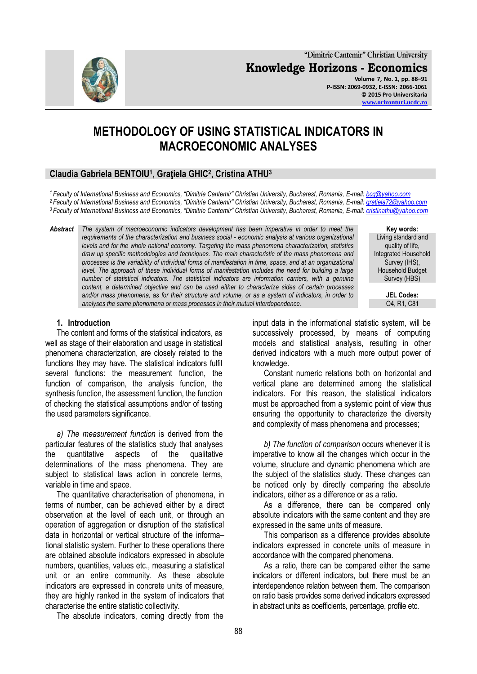**"Dimitrie Cantemir" Christian University Knowledge Horizons - Economics Volume 7, No. 1, pp. 88–91 P-ISSN: 2069-0932, E-ISSN: 2066-1061 © 2015 Pro Universitaria [www.orizonturi.ucdc.ro](http://www.orizonturi.ucdc.ro/)**

# **METHODOLOGY OF USING STATISTICAL INDICATORS IN MACROECONOMIC ANALYSES**

# **Claudia Gabriela BENTOIU<sup>1</sup> , Graţiela GHIC<sup>2</sup> , Cristina ATHU<sup>3</sup>**

*<sup>1</sup>Faculty of International Business and Economics, "Dimitrie Cantemir" Christian University, Bucharest, Romania, E-mail: [bcg@yahoo.com](mailto:bcg@yahoo.com) <sup>2</sup>Faculty of International Business and Economics, "Dimitrie Cantemir" Christian University, Bucharest, Romania, E-mail: [gratiela72@yahoo.com](mailto:gratiela72@yahoo.com) <sup>3</sup>Faculty of International Business and Economics, "Dimitrie Cantemir" Christian University, Bucharest, Romania, E-mail: [cristinathu@yahoo.com](mailto:cristinathu@yahoo.com)*

*Abstract The system of macroeconomic indicators development has been imperative in order to meet the requirements of the characterization and business social - economic analysis at various organizational levels and for the whole national economy. Targeting the mass phenomena characterization, statistics draw up specific methodologies and techniques. The main characteristic of the mass phenomena and processes is the variability of individual forms of manifestation in time, space, and at an organizational level. The approach of these individual forms of manifestation includes the need for building a large number of statistical indicators. The statistical indicators are information carriers, with a genuine content, a determined objective and can be used either to characterize sides of certain processes and/or mass phenomena, as for their structure and volume, or as a system of indicators, in order to analyses the same phenomena or mass processes in their mutual interdependence.*

#### **1. Introduction**

The content and forms of the statistical indicators, as well as stage of their elaboration and usage in statistical phenomena characterization, are closely related to the functions they may have. The statistical indicators fulfil several functions: the measurement function, the function of comparison, the analysis function, the synthesis function, the assessment function, the function of checking the statistical assumptions and/or of testing the used parameters significance.

*a) The measurement function* is derived from the particular features of the statistics study that analyses the quantitative aspects of the qualitative determinations of the mass phenomena. They are subject to statistical laws action in concrete terms, variable in time and space.

The quantitative characterisation of phenomena, in terms of number, can be achieved either by a direct observation at the level of each unit, or through an operation of aggregation or disruption of the statistical data in horizontal or vertical structure of the informa– tional statistic system. Further to these operations there are obtained absolute indicators expressed in absolute numbers, quantities, values etc., measuring a statistical unit or an entire community. As these absolute indicators are expressed in concrete units of measure, they are highly ranked in the system of indicators that characterise the entire statistic collectivity.

The absolute indicators, coming directly from the

input data in the informational statistic system, will be successively processed, by means of computing models and statistical analysis, resulting in other derived indicators with a much more output power of knowledge.

Constant numeric relations both on horizontal and vertical plane are determined among the statistical indicators. For this reason, the statistical indicators must be approached from a systemic point of view thus ensuring the opportunity to characterize the diversity and complexity of mass phenomena and processes;

*b) The function of comparison* occurs whenever it is imperative to know all the changes which occur in the volume, structure and dynamic phenomena which are the subject of the statistics study. These changes can be noticed only by directly comparing the absolute indicators, either as a difference or as a ratio*.*

As a difference, there can be compared only absolute indicators with the same content and they are expressed in the same units of measure.

This comparison as a difference provides absolute indicators expressed in concrete units of measure in accordance with the compared phenomena.

As a ratio, there can be compared either the same indicators or different indicators, but there must be an interdependence relation between them. The comparison on ratio basis provides some derived indicators expressed in abstract units as coefficients, percentage, profile etc.



**Key words:** Living standard and quality of life, Integrated Household Survey (IHS), Household Budget Survey (HBS)

> **JEL Codes:** O4, R1, C81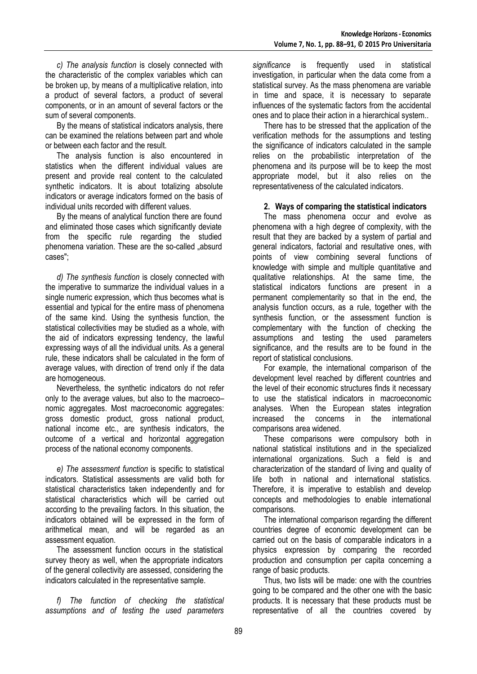89

*c) The analysis function* is closely connected with the characteristic of the complex variables which can be broken up, by means of a multiplicative relation, into a product of several factors, a product of several components, or in an amount of several factors or the sum of several components.

By the means of statistical indicators analysis, there can be examined the relations between part and whole or between each factor and the result.

The analysis function is also encountered in statistics when the different individual values are present and provide real content to the calculated synthetic indicators. It is about totalizing absolute indicators or average indicators formed on the basis of individual units recorded with different values.

By the means of analytical function there are found and eliminated those cases which significantly deviate from the specific rule regarding the studied phenomena variation. These are the so-called "absurd cases";

*d) The synthesis function* is closely connected with the imperative to summarize the individual values in a single numeric expression, which thus becomes what is essential and typical for the entire mass of phenomena of the same kind. Using the synthesis function, the statistical collectivities may be studied as a whole, with the aid of indicators expressing tendency, the lawful expressing ways of all the individual units. As a general rule, these indicators shall be calculated in the form of average values, with direction of trend only if the data are homogeneous.

Nevertheless, the synthetic indicators do not refer only to the average values, but also to the macroeco– nomic aggregates. Most macroeconomic aggregates: gross domestic product, gross national product, national income etc., are synthesis indicators, the outcome of a vertical and horizontal aggregation process of the national economy components.

*e) The assessment function* is specific to statistical indicators. Statistical assessments are valid both for statistical characteristics taken independently and for statistical characteristics which will be carried out according to the prevailing factors. In this situation, the indicators obtained will be expressed in the form of arithmetical mean, and will be regarded as an assessment equation.

The assessment function occurs in the statistical survey theory as well, when the appropriate indicators of the general collectivity are assessed, considering the indicators calculated in the representative sample.

*f) The function of checking the statistical assumptions and of testing the used parameters* *significance* is frequently used in statistical investigation, in particular when the data come from a statistical survey. As the mass phenomena are variable in time and space, it is necessary to separate influences of the systematic factors from the accidental ones and to place their action in a hierarchical system..

There has to be stressed that the application of the verification methods for the assumptions and testing the significance of indicators calculated in the sample relies on the probabilistic interpretation of the phenomena and its purpose will be to keep the most appropriate model, but it also relies on the representativeness of the calculated indicators.

### **2. Ways of comparing the statistical indicators**

The mass phenomena occur and evolve as phenomena with a high degree of complexity, with the result that they are backed by a system of partial and general indicators, factorial and resultative ones, with points of view combining several functions of knowledge with simple and multiple quantitative and qualitative relationships. At the same time, the statistical indicators functions are present in a permanent complementarity so that in the end, the analysis function occurs, as a rule, together with the synthesis function, or the assessment function is complementary with the function of checking the assumptions and testing the used parameters significance, and the results are to be found in the report of statistical conclusions.

For example, the international comparison of the development level reached by different countries and the level of their economic structures finds it necessary to use the statistical indicators in macroeconomic analyses. When the European states integration increased the concerns in the international comparisons area widened.

These comparisons were compulsory both in national statistical institutions and in the specialized international organizations. Such a field is and characterization of the standard of living and quality of life both in national and international statistics. Therefore, it is imperative to establish and develop concepts and methodologies to enable international comparisons.

The international comparison regarding the different countries degree of economic development can be carried out on the basis of comparable indicators in a physics expression by comparing the recorded production and consumption per capita concerning a range of basic products.

Thus, two lists will be made: one with the countries going to be compared and the other one with the basic products. It is necessary that these products must be representative of all the countries covered by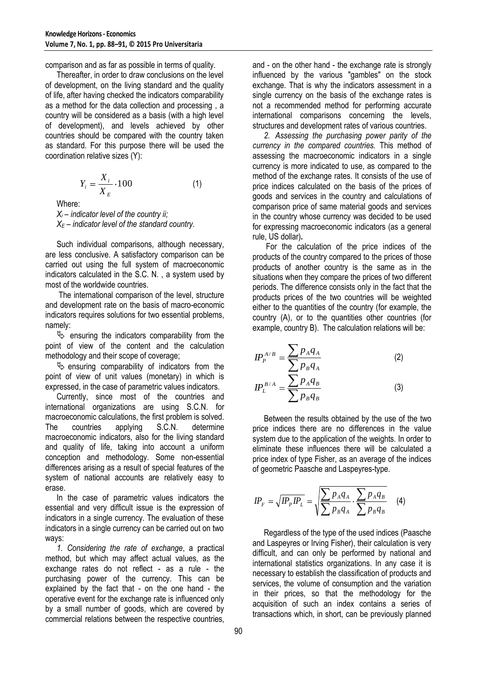comparison and as far as possible in terms of quality.

Thereafter, in order to draw conclusions on the level of development, on the living standard and the quality of life, after having checked the indicators comparability as a method for the data collection and processing , a country will be considered as a basis (with a high level of development), and levels achieved by other countries should be compared with the country taken as standard. For this purpose there will be used the coordination relative sizes (Y):

$$
Y_i = \frac{X_i}{X_E} \cdot 100\tag{1}
$$

Where:

 $X_i$  – *indicator level of the country ii; X<sup>E</sup> – indicator level of the standard country.*

Such individual comparisons, although necessary, are less conclusive. A satisfactory comparison can be carried out using the full system of macroeconomic indicators calculated in the S.C. N. , a system used by most of the worldwide countries.

The international comparison of the level, structure and development rate on the basis of macro-economic indicators requires solutions for two essential problems, namely:

 $\psi$  ensuring the indicators comparability from the point of view of the content and the calculation methodology and their scope of coverage;

 $\%$  ensuring comparability of indicators from the point of view of unit values (monetary) in which is expressed, in the case of parametric values indicators.

Currently, since most of the countries and international organizations are using S.C.N. for macroeconomic calculations, the first problem is solved. The countries applying S.C.N. determine macroeconomic indicators, also for the living standard and quality of life, taking into account a uniform conception and methodology. Some non-essential differences arising as a result of special features of the system of national accounts are relatively easy to erase.

In the case of parametric values indicators the essential and very difficult issue is the expression of indicators in a single currency. The evaluation of these indicators in a single currency can be carried out on two ways:

*1. Considering the rate of exchange*, a practical method, but which may affect actual values, as the exchange rates do not reflect - as a rule - the purchasing power of the currency. This can be explained by the fact that - on the one hand - the operative event for the exchange rate is influenced only by a small number of goods, which are covered by commercial relations between the respective countries, and - on the other hand - the exchange rate is strongly influenced by the various "gambles" on the stock exchange. That is why the indicators assessment in a single currency on the basis of the exchange rates is not a recommended method for performing accurate international comparisons concerning the levels, structures and development rates of various countries.

*2. Assessing the purchasing power parity of the currency in the compared countries.* This method of assessing the macroeconomic indicators in a single currency is more indicated to use, as compared to the method of the exchange rates. It consists of the use of price indices calculated on the basis of the prices of goods and services in the country and calculations of comparison price of same material goods and services in the country whose currency was decided to be used for expressing macroeconomic indicators (as a general rule, US dollar)*.*

For the calculation of the price indices of the products of the country compared to the prices of those products of another country is the same as in the situations when they compare the prices of two different periods. The difference consists only in the fact that the products prices of the two countries will be weighted either to the quantities of the country (for example, the country (A), or to the quantities other countries (for example, country B). The calculation relations will be:

$$
IP_{P}^{A/B} = \frac{\sum p_{A}q_{A}}{\sum p_{B}q_{A}}
$$
 (2)  

$$
IP_{L}^{B/A} = \frac{\sum p_{A}q_{B}}{\sum p_{B}q_{B}}
$$
 (3)

Between the results obtained by the use of the two price indices there are no differences in the value system due to the application of the weights. In order to eliminate these influences there will be calculated a price index of type Fisher, as an average of the indices of geometric Paasche and Laspeyres-type.

$$
IP_F = \sqrt{IP_pIP_L} = \sqrt{\frac{\sum p_Aq_A}{\sum p_Bq_A} \cdot \frac{\sum p_Aq_B}{\sum p_Bq_B}}
$$
 (4)

Regardless of the type of the used indices (Paasche and Laspeyres or Irving Fisher), their calculation is very difficult, and can only be performed by national and international statistics organizations. In any case it is necessary to establish the classification of products and services, the volume of consumption and the variation in their prices, so that the methodology for the acquisition of such an index contains a series of transactions which, in short, can be previously planned